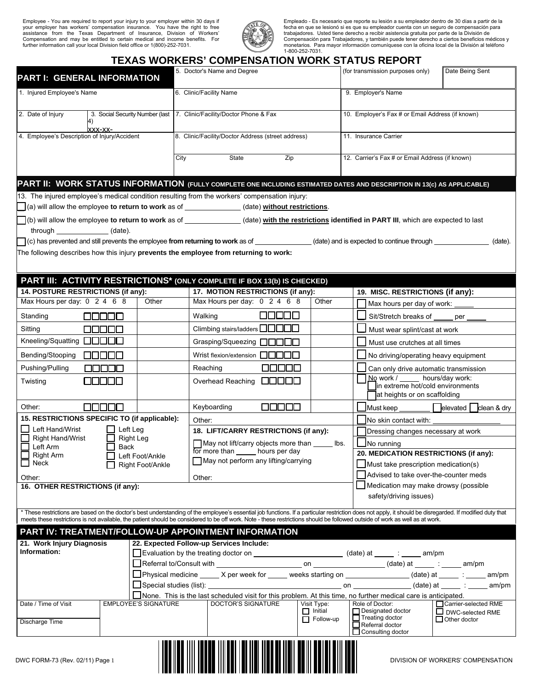Employee - You are required to report your injury to your employer within 30 days if<br>your employer has workers' compensation insurance. You have the right to free<br>assistance from the Texas Department of Insurance, Division



Empleado - Es necesario que reporte su lesión a su empleador dentro de 30 días a partir de la<br>fecha en que se lesionó si es que su empleador cuenta con un seguro de compensación para<br>trabajadores. Usted tiene derecho a rec

|                                                                    |                          |                                | <b>TEXAS WORKERS' COMPENSATION WORK STATUS REPORT</b><br>5. Doctor's Name and Degree                                                                                                           |       |                             | (for transmission purposes only)                                                                                                                                                                                                                                                                                                                                                         | Date Being Sent                         |  |
|--------------------------------------------------------------------|--------------------------|--------------------------------|------------------------------------------------------------------------------------------------------------------------------------------------------------------------------------------------|-------|-----------------------------|------------------------------------------------------------------------------------------------------------------------------------------------------------------------------------------------------------------------------------------------------------------------------------------------------------------------------------------------------------------------------------------|-----------------------------------------|--|
| PART I: GENERAL INFORMATION                                        |                          |                                |                                                                                                                                                                                                |       |                             |                                                                                                                                                                                                                                                                                                                                                                                          |                                         |  |
| 1. Injured Employee's Name                                         |                          |                                | 6. Clinic/Facility Name                                                                                                                                                                        |       |                             | 9. Employer's Name                                                                                                                                                                                                                                                                                                                                                                       |                                         |  |
| 2. Date of Injury                                                  |                          |                                | 3. Social Security Number (last   7. Clinic/Facility/Doctor Phone & Fax                                                                                                                        |       |                             | 10. Employer's Fax # or Email Address (if known)                                                                                                                                                                                                                                                                                                                                         |                                         |  |
| XXX-XX-<br>4. Employee's Description of Injury/Accident            |                          |                                | 8. Clinic/Facility/Doctor Address (street address)                                                                                                                                             |       |                             | 11. Insurance Carrier                                                                                                                                                                                                                                                                                                                                                                    |                                         |  |
|                                                                    |                          |                                | State<br>City                                                                                                                                                                                  | Zip   |                             | 12. Carrier's Fax # or Email Address (if known)                                                                                                                                                                                                                                                                                                                                          |                                         |  |
|                                                                    |                          |                                |                                                                                                                                                                                                |       |                             | PART II: WORK STATUS INFORMATION (FULLY COMPLETE ONE INCLUDING ESTIMATED DATES AND DESCRIPTION IN 13(c) AS APPLICABLE)                                                                                                                                                                                                                                                                   |                                         |  |
|                                                                    |                          |                                | 13. The injured employee's medical condition resulting from the workers' compensation injury:<br>(a) will allow the employee to return to work as of _____________(date) without restrictions. |       |                             |                                                                                                                                                                                                                                                                                                                                                                                          |                                         |  |
|                                                                    |                          |                                |                                                                                                                                                                                                |       |                             |                                                                                                                                                                                                                                                                                                                                                                                          |                                         |  |
| through (date).                                                    |                          |                                |                                                                                                                                                                                                |       |                             | (b) will allow the employee to return to work as of _______________(date) with the restrictions identified in PART III, which are expected to last                                                                                                                                                                                                                                       |                                         |  |
|                                                                    |                          |                                |                                                                                                                                                                                                |       |                             |                                                                                                                                                                                                                                                                                                                                                                                          | (date).                                 |  |
|                                                                    |                          |                                | The following describes how this injury prevents the employee from returning to work:                                                                                                          |       |                             |                                                                                                                                                                                                                                                                                                                                                                                          |                                         |  |
|                                                                    |                          |                                |                                                                                                                                                                                                |       |                             |                                                                                                                                                                                                                                                                                                                                                                                          |                                         |  |
|                                                                    |                          |                                |                                                                                                                                                                                                |       |                             |                                                                                                                                                                                                                                                                                                                                                                                          |                                         |  |
|                                                                    |                          |                                | PART III: ACTIVITY RESTRICTIONS* (ONLY COMPLETE IF BOX 13(b) IS CHECKED)                                                                                                                       |       |                             |                                                                                                                                                                                                                                                                                                                                                                                          |                                         |  |
| 14. POSTURE RESTRICTIONS (if any):<br>Max Hours per day: 0 2 4 6 8 |                          | Other                          | 17. MOTION RESTRICTIONS (if any):<br>Max Hours per day: 0 2 4 6 8                                                                                                                              |       | Other                       | 19. MISC. RESTRICTIONS (if any):                                                                                                                                                                                                                                                                                                                                                         |                                         |  |
|                                                                    |                          |                                |                                                                                                                                                                                                |       |                             | Max hours per day of work:                                                                                                                                                                                                                                                                                                                                                               |                                         |  |
| Standing                                                           | 00000                    |                                | Walking                                                                                                                                                                                        | 00000 |                             | Sit/Stretch breaks of                                                                                                                                                                                                                                                                                                                                                                    | per                                     |  |
| Sitting                                                            | 00000                    |                                | Climbing stairs/ladders <b>QQQQ</b>                                                                                                                                                            |       |                             | Must wear splint/cast at work                                                                                                                                                                                                                                                                                                                                                            |                                         |  |
| Kneeling/Squatting <b>QOOO</b>                                     |                          |                                | Grasping/Squeezing □□□□                                                                                                                                                                        |       |                             | Must use crutches at all times                                                                                                                                                                                                                                                                                                                                                           |                                         |  |
| Bending/Stooping                                                   | 00000                    |                                | Wrist flexion/extension $\Box$ $\Box$ $\Box$                                                                                                                                                   |       |                             | No driving/operating heavy equipment                                                                                                                                                                                                                                                                                                                                                     |                                         |  |
| Pushing/Pulling                                                    | 88888                    |                                | Reaching                                                                                                                                                                                       | nnnn  |                             | Can only drive automatic transmission                                                                                                                                                                                                                                                                                                                                                    |                                         |  |
| Twisting                                                           | F 1 1 1 1 1 1            |                                | Overhead Reaching <b>QQQQQ</b>                                                                                                                                                                 |       |                             | No work / _____ hours/day work:<br>in extreme hot/cold environments<br>at heights or on scaffolding                                                                                                                                                                                                                                                                                      |                                         |  |
| Other:                                                             | 00000                    |                                | Keyboarding                                                                                                                                                                                    | 00000 |                             |                                                                                                                                                                                                                                                                                                                                                                                          |                                         |  |
| 15. RESTRICTIONS SPECIFIC TO (if applicable):                      |                          |                                | Other:                                                                                                                                                                                         |       |                             | No skin contact with:                                                                                                                                                                                                                                                                                                                                                                    |                                         |  |
| Left Hand/Wrist                                                    | Left Leg                 |                                | 18. LIFT/CARRY RESTRICTIONS (if any):<br>May not lift/carry objects more than __<br>lbs.                                                                                                       |       |                             | Dressing changes necessary at work<br>$\Box$ No running                                                                                                                                                                                                                                                                                                                                  |                                         |  |
| <b>Right Hand/Wrist</b><br>Left Arm                                | <b>Right Leg</b><br>Back |                                |                                                                                                                                                                                                |       |                             |                                                                                                                                                                                                                                                                                                                                                                                          |                                         |  |
| $\Box$ Right Arm<br>Left Foot/Ankle                                |                          |                                | for more than ______ hours per day<br>$\Box$ May not perform any lifting/carrying                                                                                                              |       |                             | 20. MEDICATION RESTRICTIONS (if any):                                                                                                                                                                                                                                                                                                                                                    |                                         |  |
| $\Box$ Neck                                                        |                          | Right Foot/Ankle               |                                                                                                                                                                                                |       |                             | $\Box$ Must take prescription medication(s)                                                                                                                                                                                                                                                                                                                                              |                                         |  |
| Other:                                                             |                          |                                | Other:                                                                                                                                                                                         |       |                             | Advised to take over-the-counter meds<br>Medication may make drowsy (possible                                                                                                                                                                                                                                                                                                            |                                         |  |
| 16. OTHER RESTRICTIONS (if any):                                   |                          |                                |                                                                                                                                                                                                |       |                             | safety/driving issues)                                                                                                                                                                                                                                                                                                                                                                   |                                         |  |
|                                                                    |                          |                                |                                                                                                                                                                                                |       |                             | * These restrictions are based on the doctor's best understanding of the employee's essential job functions. If a particular restriction does not apply, it should be disregarded. If modified duty that<br>meets these restrictions is not available, the patient should be considered to be off work. Note - these restrictions should be followed outside of work as well as at work. |                                         |  |
|                                                                    |                          |                                | PART IV: TREATMENT/FOLLOW-UP APPOINTMENT INFORMATION                                                                                                                                           |       |                             |                                                                                                                                                                                                                                                                                                                                                                                          |                                         |  |
| 21. Work Injury Diagnosis                                          |                          |                                | 22. Expected Follow-up Services Include:                                                                                                                                                       |       |                             |                                                                                                                                                                                                                                                                                                                                                                                          |                                         |  |
| Information:                                                       |                          |                                | Evaluation by the treating doctor on _____________________________ (date) at _______: _____ am/pm                                                                                              |       |                             |                                                                                                                                                                                                                                                                                                                                                                                          |                                         |  |
|                                                                    |                          |                                |                                                                                                                                                                                                |       |                             |                                                                                                                                                                                                                                                                                                                                                                                          |                                         |  |
|                                                                    |                          |                                |                                                                                                                                                                                                |       |                             | □Physical medicine _____ X per week for _____ weeks starting on _______________(date) at _____ : _____ am/pm                                                                                                                                                                                                                                                                             |                                         |  |
|                                                                    |                          | Special studies (list): ______ | None. This is the last scheduled visit for this problem. At this time, no further medical care is anticipated.                                                                                 |       |                             | am/pm                                                                                                                                                                                                                                                                                                                                                                                    |                                         |  |
| Date / Time of Visit                                               |                          | <b>EMPLOYEE'S SIGNATURE</b>    | <b>DOCTOR'S SIGNATURE</b>                                                                                                                                                                      |       | Visit Type:                 | Role of Doctor:                                                                                                                                                                                                                                                                                                                                                                          | □ Carrier-selected RME                  |  |
| Discharge Time                                                     |                          |                                |                                                                                                                                                                                                |       | $\Box$ Initial<br>Follow-up | Designated doctor<br>$\Box$ Treating doctor<br>Referral doctor<br>$\Box$ Consulting doctor                                                                                                                                                                                                                                                                                               | DWC-selected RME<br>$\Box$ Other doctor |  |
| DWC FORM-73 (Rev. 02/11) Page 1                                    |                          |                                |                                                                                                                                                                                                |       |                             |                                                                                                                                                                                                                                                                                                                                                                                          | DIVISION OF WORKERS' COMPENSATION       |  |